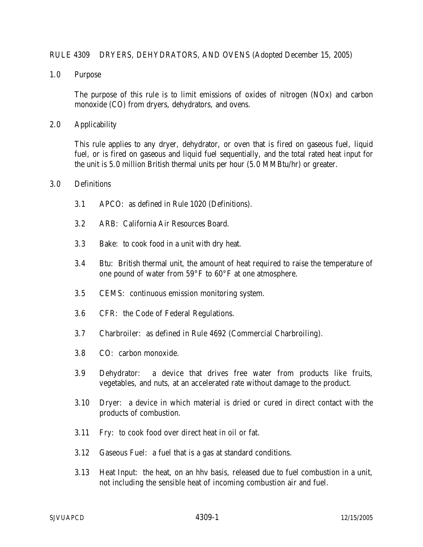### RULE 4309 DRYERS, DEHYDRATORS, AND OVENS (Adopted December 15, 2005)

1.0 Purpose

 The purpose of this rule is to limit emissions of oxides of nitrogen (NOx) and carbon monoxide (CO) from dryers, dehydrators, and ovens.

2.0 Applicability

This rule applies to any dryer, dehydrator, or oven that is fired on gaseous fuel, liquid fuel, or is fired on gaseous and liquid fuel sequentially, and the total rated heat input for the unit is 5.0 million British thermal units per hour (5.0 MMBtu/hr) or greater.

### 3.0 Definitions

- 3.1 APCO: as defined in Rule 1020 (Definitions).
- 3.2 ARB: California Air Resources Board.
- 3.3 Bake: to cook food in a unit with dry heat.
- 3.4 Btu: British thermal unit, the amount of heat required to raise the temperature of one pound of water from 59°F to 60°F at one atmosphere.
- 3.5 CEMS: continuous emission monitoring system.
- 3.6 CFR: the Code of Federal Regulations.
- 3.7 Charbroiler: as defined in Rule 4692 (Commercial Charbroiling).
- 3.8 CO: carbon monoxide.
- 3.9 Dehydrator: a device that drives free water from products like fruits, vegetables, and nuts, at an accelerated rate without damage to the product.
- 3.10 Dryer: a device in which material is dried or cured in direct contact with the products of combustion.
- 3.11 Fry: to cook food over direct heat in oil or fat.
- 3.12 Gaseous Fuel: a fuel that is a gas at standard conditions.
- 3.13 Heat Input: the heat, on an hhv basis, released due to fuel combustion in a unit, not including the sensible heat of incoming combustion air and fuel.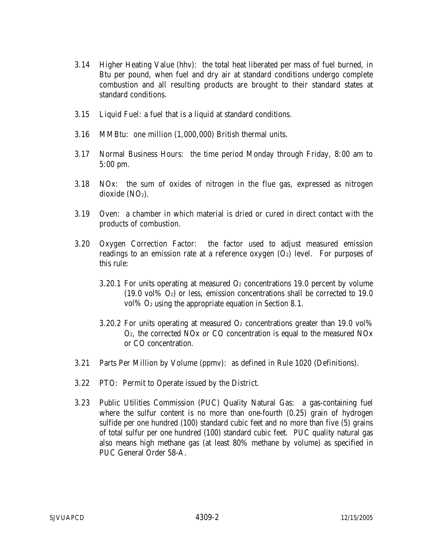- 3.14 Higher Heating Value (hhv): the total heat liberated per mass of fuel burned, in Btu per pound, when fuel and dry air at standard conditions undergo complete combustion and all resulting products are brought to their standard states at standard conditions.
- 3.15 Liquid Fuel: a fuel that is a liquid at standard conditions.
- 3.16 MMBtu: one million (1,000,000) British thermal units.
- 3.17 Normal Business Hours: the time period Monday through Friday, 8:00 am to 5:00 pm.
- 3.18 NOx: the sum of oxides of nitrogen in the flue gas, expressed as nitrogen dioxide (NO<sub>2</sub>).
- 3.19 Oven: a chamber in which material is dried or cured in direct contact with the products of combustion.
- 3.20 Oxygen Correction Factor: the factor used to adjust measured emission readings to an emission rate at a reference oxygen  $(O<sub>2</sub>)$  level. For purposes of this rule:
	- 3.20.1 For units operating at measured  $O<sub>2</sub>$  concentrations 19.0 percent by volume  $(19.0 \text{ vol}\% \text{ O}_2)$  or less, emission concentrations shall be corrected to 19.0 vol% O2 using the appropriate equation in Section 8.1.
	- 3.20.2 For units operating at measured  $O<sub>2</sub>$  concentrations greater than 19.0 vol% O2, the corrected NOx or CO concentration is equal to the measured NOx or CO concentration.
- 3.21 Parts Per Million by Volume (ppmv): as defined in Rule 1020 (Definitions).
- 3.22 PTO: Permit to Operate issued by the District.
- 3.23 Public Utilities Commission (PUC) Quality Natural Gas: a gas-containing fuel where the sulfur content is no more than one-fourth  $(0.25)$  grain of hydrogen sulfide per one hundred (100) standard cubic feet and no more than five (5) grains of total sulfur per one hundred (100) standard cubic feet. PUC quality natural gas also means high methane gas (at least 80% methane by volume) as specified in PUC General Order 58-A.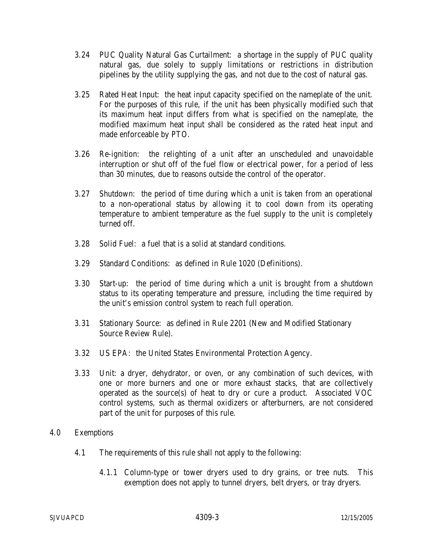- 3.24 PUC Quality Natural Gas Curtailment: a shortage in the supply of PUC quality natural gas, due solely to supply limitations or restrictions in distribution pipelines by the utility supplying the gas, and not due to the cost of natural gas.
- 3.25 Rated Heat Input: the heat input capacity specified on the nameplate of the unit. For the purposes of this rule, if the unit has been physically modified such that its maximum heat input differs from what is specified on the nameplate, the modified maximum heat input shall be considered as the rated heat input and made enforceable by PTO.
- 3.26 Re-ignition: the relighting of a unit after an unscheduled and unavoidable interruption or shut off of the fuel flow or electrical power, for a period of less than 30 minutes, due to reasons outside the control of the operator.
- 3.27 Shutdown: the period of time during which a unit is taken from an operational to a non-operational status by allowing it to cool down from its operating temperature to ambient temperature as the fuel supply to the unit is completely turned off.
- 3.28 Solid Fuel: a fuel that is a solid at standard conditions.
- 3.29 Standard Conditions: as defined in Rule 1020 (Definitions).
- 3.30 Start-up: the period of time during which a unit is brought from a shutdown status to its operating temperature and pressure, including the time required by the unit's emission control system to reach full operation.
- 3.31 Stationary Source: as defined in Rule 2201 (New and Modified Stationary Source Review Rule).
- 3.32 US EPA: the United States Environmental Protection Agency.
- 3.33 Unit: a dryer, dehydrator, or oven, or any combination of such devices, with one or more burners and one or more exhaust stacks, that are collectively operated as the source(s) of heat to dry or cure a product. Associated VOC control systems, such as thermal oxidizers or afterburners, are not considered part of the unit for purposes of this rule.
- 4.0 Exemptions
	- 4.1 The requirements of this rule shall not apply to the following:
		- 4.1.1 Column-type or tower dryers used to dry grains, or tree nuts. This exemption does not apply to tunnel dryers, belt dryers, or tray dryers.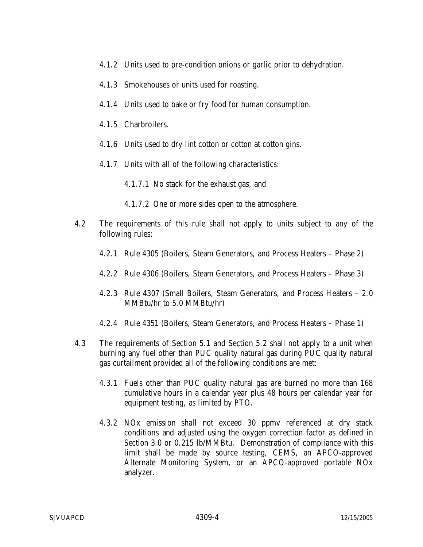- 4.1.2 Units used to pre-condition onions or garlic prior to dehydration.
- 4.1.3 Smokehouses or units used for roasting.
- 4.1.4 Units used to bake or fry food for human consumption.
- 4.1.5 Charbroilers.
- 4.1.6 Units used to dry lint cotton or cotton at cotton gins.
- 4.1.7 Units with all of the following characteristics:
	- 4.1.7.1 No stack for the exhaust gas, and
	- 4.1.7.2 One or more sides open to the atmosphere.
- 4.2 The requirements of this rule shall not apply to units subject to any of the following rules:
	- 4.2.1 Rule 4305 (Boilers, Steam Generators, and Process Heaters Phase 2)
	- 4.2.2 Rule 4306 (Boilers, Steam Generators, and Process Heaters Phase 3)
	- 4.2.3 Rule 4307 (Small Boilers, Steam Generators, and Process Heaters 2.0 MMBtu/hr to 5.0 MMBtu/hr)
	- 4.2.4 Rule 4351 (Boilers, Steam Generators, and Process Heaters Phase 1)
- 4.3 The requirements of Section 5.1 and Section 5.2 shall not apply to a unit when burning any fuel other than PUC quality natural gas during PUC quality natural gas curtailment provided all of the following conditions are met:
	- 4.3.1 Fuels other than PUC quality natural gas are burned no more than 168 cumulative hours in a calendar year plus 48 hours per calendar year for equipment testing, as limited by PTO.
	- 4.3.2 NOx emission shall not exceed 30 ppmv referenced at dry stack conditions and adjusted using the oxygen correction factor as defined in Section 3.0 or 0.215 lb/MMBtu. Demonstration of compliance with this limit shall be made by source testing, CEMS, an APCO-approved Alternate Monitoring System, or an APCO-approved portable NOx analyzer.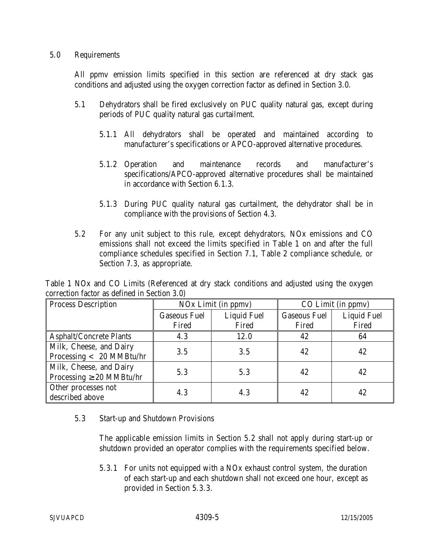## 5.0 Requirements

All ppmv emission limits specified in this section are referenced at dry stack gas conditions and adjusted using the oxygen correction factor as defined in Section 3.0.

- 5.1 Dehydrators shall be fired exclusively on PUC quality natural gas, except during periods of PUC quality natural gas curtailment.
	- 5.1.1 All dehydrators shall be operated and maintained according to manufacturer's specifications or APCO-approved alternative procedures.
	- 5.1.2 Operation and maintenance records and manufacturer's specifications/APCO-approved alternative procedures shall be maintained in accordance with Section 6.1.3.
	- 5.1.3 During PUC quality natural gas curtailment, the dehydrator shall be in compliance with the provisions of Section 4.3.
- 5.2 For any unit subject to this rule, except dehydrators, NOx emissions and CO emissions shall not exceed the limits specified in Table 1 on and after the full compliance schedules specified in Section 7.1, Table 2 compliance schedule, or Section 7.3, as appropriate.

Table 1 NOx and CO Limits (Referenced at dry stack conditions and adjusted using the oxygen correction factor as defined in Section 3.0)

| <b>Process Description</b>     | NO <sub>x</sub> Limit (in ppmv) |                    | CO Limit (in ppmv)  |                    |
|--------------------------------|---------------------------------|--------------------|---------------------|--------------------|
|                                | <b>Gaseous Fuel</b>             | <b>Liquid Fuel</b> | <b>Gaseous Fuel</b> | <b>Liquid Fuel</b> |
|                                | Fired                           | Fired              | Fired               | Fired              |
| <b>Asphalt/Concrete Plants</b> | 4.3                             | 12.0               | 42                  | 64                 |
| Milk, Cheese, and Dairy        | 3.5                             | 3.5                | 42                  | 42                 |
| Processing < 20 MMBtu/hr       |                                 |                    |                     |                    |
| Milk, Cheese, and Dairy        | 5.3                             | 5.3                | 42                  | 42                 |
| Processing $\geq 20$ MMBtu/hr  |                                 |                    |                     |                    |
| Other processes not            | 4.3                             | 4.3                | 42                  | 42                 |
| described above                |                                 |                    |                     |                    |

5.3 Start-up and Shutdown Provisions

The applicable emission limits in Section 5.2 shall not apply during start-up or shutdown provided an operator complies with the requirements specified below.

5.3.1 For units not equipped with a NOx exhaust control system, the duration of each start-up and each shutdown shall not exceed one hour, except as provided in Section 5.3.3.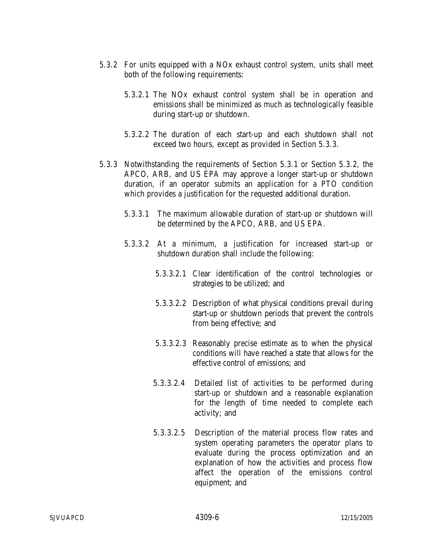- 5.3.2 For units equipped with a NOx exhaust control system, units shall meet both of the following requirements:
	- 5.3.2.1 The NOx exhaust control system shall be in operation and emissions shall be minimized as much as technologically feasible during start-up or shutdown.
	- 5.3.2.2 The duration of each start-up and each shutdown shall not exceed two hours, except as provided in Section 5.3.3.
- 5.3.3 Notwithstanding the requirements of Section 5.3.1 or Section 5.3.2, the APCO, ARB, and US EPA may approve a longer start-up or shutdown duration, if an operator submits an application for a PTO condition which provides a justification for the requested additional duration.
	- 5.3.3.1 The maximum allowable duration of start-up or shutdown will be determined by the APCO, ARB, and US EPA.
	- 5.3.3.2 At a minimum, a justification for increased start-up or shutdown duration shall include the following:
		- 5.3.3.2.1 Clear identification of the control technologies or strategies to be utilized; and
		- 5.3.3.2.2 Description of what physical conditions prevail during start-up or shutdown periods that prevent the controls from being effective; and
		- 5.3.3.2.3 Reasonably precise estimate as to when the physical conditions will have reached a state that allows for the effective control of emissions; and
		- 5.3.3.2.4 Detailed list of activities to be performed during start-up or shutdown and a reasonable explanation for the length of time needed to complete each activity; and
		- 5.3.3.2.5 Description of the material process flow rates and system operating parameters the operator plans to evaluate during the process optimization and an explanation of how the activities and process flow affect the operation of the emissions control equipment; and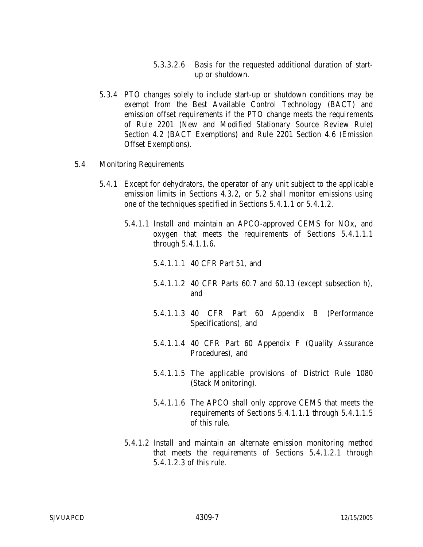- 5.3.3.2.6 Basis for the requested additional duration of startup or shutdown.
- 5.3.4 PTO changes solely to include start-up or shutdown conditions may be exempt from the Best Available Control Technology (BACT) and emission offset requirements if the PTO change meets the requirements of Rule 2201 (New and Modified Stationary Source Review Rule) Section 4.2 (BACT Exemptions) and Rule 2201 Section 4.6 (Emission Offset Exemptions).
- 5.4 Monitoring Requirements
	- 5.4.1 Except for dehydrators, the operator of any unit subject to the applicable emission limits in Sections 4.3.2, or 5.2 shall monitor emissions using one of the techniques specified in Sections 5.4.1.1 or 5.4.1.2.
		- 5.4.1.1 Install and maintain an APCO-approved CEMS for NOx, and oxygen that meets the requirements of Sections 5.4.1.1.1 through 5.4.1.1.6.
			- 5.4.1.1.1 40 CFR Part 51, and
			- 5.4.1.1.2 40 CFR Parts 60.7 and 60.13 (except subsection h), and
			- 5.4.1.1.3 40 CFR Part 60 Appendix B (Performance Specifications), and
			- 5.4.1.1.4 40 CFR Part 60 Appendix F (Quality Assurance Procedures), and
			- 5.4.1.1.5 The applicable provisions of District Rule 1080 (Stack Monitoring).
			- 5.4.1.1.6 The APCO shall only approve CEMS that meets the requirements of Sections 5.4.1.1.1 through 5.4.1.1.5 of this rule.
		- 5.4.1.2 Install and maintain an alternate emission monitoring method that meets the requirements of Sections 5.4.1.2.1 through 5.4.1.2.3 of this rule.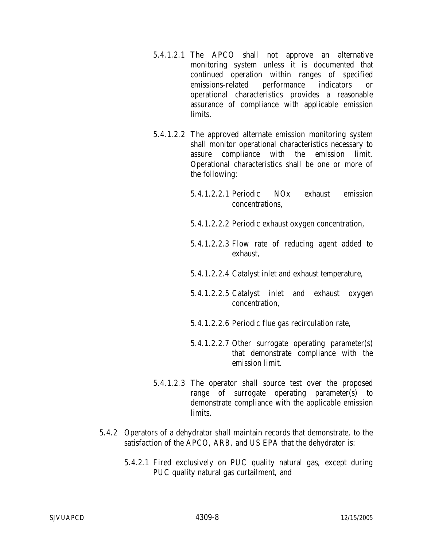- 5.4.1.2.1 The APCO shall not approve an alternative monitoring system unless it is documented that continued operation within ranges of specified emissions-related performance indicators or operational characteristics provides a reasonable assurance of compliance with applicable emission limits.
- 5.4.1.2.2 The approved alternate emission monitoring system shall monitor operational characteristics necessary to assure compliance with the emission limit. Operational characteristics shall be one or more of the following:
	- 5.4.1.2.2.1 Periodic NOx exhaust emission concentrations,
	- 5.4.1.2.2.2 Periodic exhaust oxygen concentration,
	- 5.4.1.2.2.3 Flow rate of reducing agent added to exhaust,
	- 5.4.1.2.2.4 Catalyst inlet and exhaust temperature,
	- 5.4.1.2.2.5 Catalyst inlet and exhaust oxygen concentration,
	- 5.4.1.2.2.6 Periodic flue gas recirculation rate,
	- 5.4.1.2.2.7 Other surrogate operating parameter(s) that demonstrate compliance with the emission limit.
- 5.4.1.2.3 The operator shall source test over the proposed range of surrogate operating parameter(s) to demonstrate compliance with the applicable emission limits.
- 5.4.2 Operators of a dehydrator shall maintain records that demonstrate, to the satisfaction of the APCO, ARB, and US EPA that the dehydrator is:
	- 5.4.2.1 Fired exclusively on PUC quality natural gas, except during PUC quality natural gas curtailment, and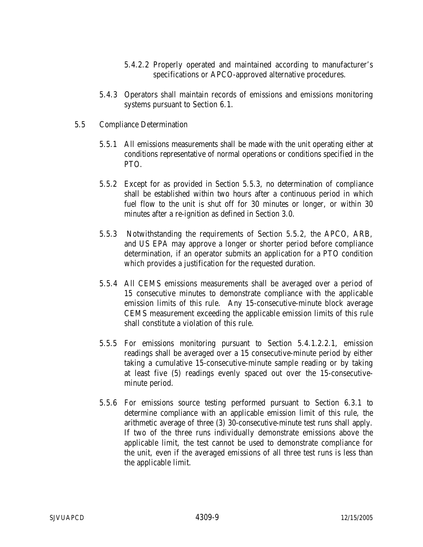- 5.4.2.2 Properly operated and maintained according to manufacturer's specifications or APCO-approved alternative procedures.
- 5.4.3 Operators shall maintain records of emissions and emissions monitoring systems pursuant to Section 6.1.
- 5.5 Compliance Determination
	- 5.5.1 All emissions measurements shall be made with the unit operating either at conditions representative of normal operations or conditions specified in the PTO.
	- 5.5.2 Except for as provided in Section 5.5.3, no determination of compliance shall be established within two hours after a continuous period in which fuel flow to the unit is shut off for 30 minutes or longer, or within 30 minutes after a re-ignition as defined in Section 3.0.
	- 5.5.3 Notwithstanding the requirements of Section 5.5.2, the APCO, ARB, and US EPA may approve a longer or shorter period before compliance determination, if an operator submits an application for a PTO condition which provides a justification for the requested duration.
	- 5.5.4 All CEMS emissions measurements shall be averaged over a period of 15 consecutive minutes to demonstrate compliance with the applicable emission limits of this rule. Any 15-consecutive-minute block average CEMS measurement exceeding the applicable emission limits of this rule shall constitute a violation of this rule.
	- 5.5.5 For emissions monitoring pursuant to Section 5.4.1.2.2.1, emission readings shall be averaged over a 15 consecutive-minute period by either taking a cumulative 15-consecutive-minute sample reading or by taking at least five (5) readings evenly spaced out over the 15-consecutiveminute period.
	- 5.5.6 For emissions source testing performed pursuant to Section 6.3.1 to determine compliance with an applicable emission limit of this rule, the arithmetic average of three (3) 30-consecutive-minute test runs shall apply. If two of the three runs individually demonstrate emissions above the applicable limit, the test cannot be used to demonstrate compliance for the unit, even if the averaged emissions of all three test runs is less than the applicable limit.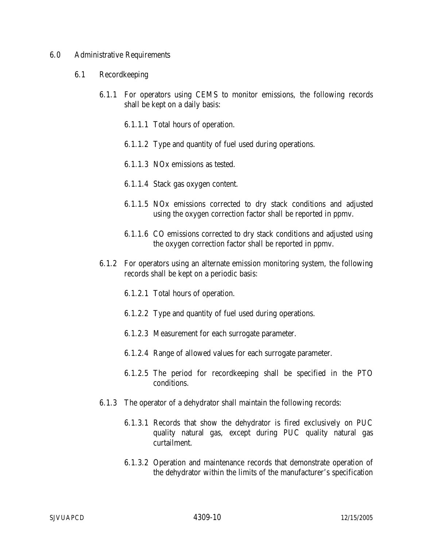### 6.0 Administrative Requirements

- 6.1 Recordkeeping
	- 6.1.1 For operators using CEMS to monitor emissions, the following records shall be kept on a daily basis:
		- 6.1.1.1 Total hours of operation.
		- 6.1.1.2 Type and quantity of fuel used during operations.
		- 6.1.1.3 NOx emissions as tested.
		- 6.1.1.4 Stack gas oxygen content.
		- 6.1.1.5 NOx emissions corrected to dry stack conditions and adjusted using the oxygen correction factor shall be reported in ppmv.
		- 6.1.1.6 CO emissions corrected to dry stack conditions and adjusted using the oxygen correction factor shall be reported in ppmv.
	- 6.1.2 For operators using an alternate emission monitoring system, the following records shall be kept on a periodic basis:
		- 6.1.2.1 Total hours of operation.
		- 6.1.2.2 Type and quantity of fuel used during operations.
		- 6.1.2.3 Measurement for each surrogate parameter.
		- 6.1.2.4 Range of allowed values for each surrogate parameter.
		- 6.1.2.5 The period for recordkeeping shall be specified in the PTO conditions.
	- 6.1.3 The operator of a dehydrator shall maintain the following records:
		- 6.1.3.1 Records that show the dehydrator is fired exclusively on PUC quality natural gas, except during PUC quality natural gas curtailment.
		- 6.1.3.2 Operation and maintenance records that demonstrate operation of the dehydrator within the limits of the manufacturer's specification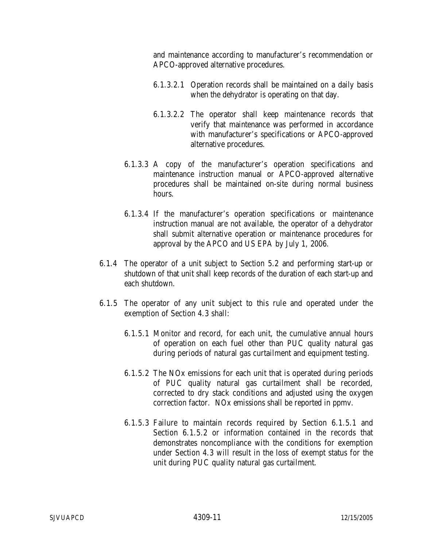and maintenance according to manufacturer's recommendation or APCO-approved alternative procedures.

- 6.1.3.2.1 Operation records shall be maintained on a daily basis when the dehydrator is operating on that day.
- 6.1.3.2.2 The operator shall keep maintenance records that verify that maintenance was performed in accordance with manufacturer's specifications or APCO-approved alternative procedures.
- 6.1.3.3 A copy of the manufacturer's operation specifications and maintenance instruction manual or APCO-approved alternative procedures shall be maintained on-site during normal business hours.
- 6.1.3.4 If the manufacturer's operation specifications or maintenance instruction manual are not available, the operator of a dehydrator shall submit alternative operation or maintenance procedures for approval by the APCO and US EPA by July 1, 2006.
- 6.1.4 The operator of a unit subject to Section 5.2 and performing start-up or shutdown of that unit shall keep records of the duration of each start-up and each shutdown.
- 6.1.5 The operator of any unit subject to this rule and operated under the exemption of Section 4.3 shall:
	- 6.1.5.1 Monitor and record, for each unit, the cumulative annual hours of operation on each fuel other than PUC quality natural gas during periods of natural gas curtailment and equipment testing.
	- 6.1.5.2 The NOx emissions for each unit that is operated during periods of PUC quality natural gas curtailment shall be recorded, corrected to dry stack conditions and adjusted using the oxygen correction factor. NOx emissions shall be reported in ppmv.
	- 6.1.5.3 Failure to maintain records required by Section 6.1.5.1 and Section 6.1.5.2 or information contained in the records that demonstrates noncompliance with the conditions for exemption under Section 4.3 will result in the loss of exempt status for the unit during PUC quality natural gas curtailment.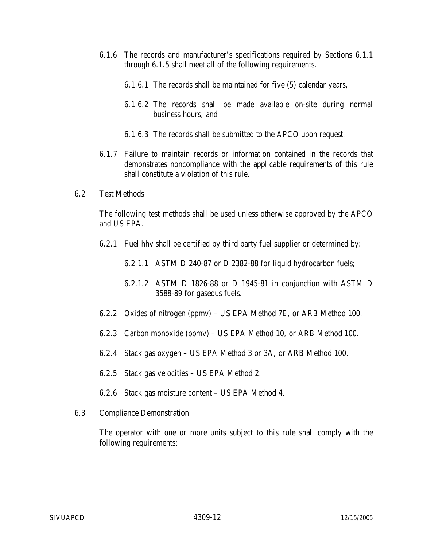- 6.1.6 The records and manufacturer's specifications required by Sections 6.1.1 through 6.1.5 shall meet all of the following requirements.
	- 6.1.6.1 The records shall be maintained for five (5) calendar years,
	- 6.1.6.2 The records shall be made available on-site during normal business hours, and
	- 6.1.6.3 The records shall be submitted to the APCO upon request.
- 6.1.7 Failure to maintain records or information contained in the records that demonstrates noncompliance with the applicable requirements of this rule shall constitute a violation of this rule.
- 6.2 Test Methods

The following test methods shall be used unless otherwise approved by the APCO and US EPA.

- 6.2.1 Fuel hhv shall be certified by third party fuel supplier or determined by:
	- 6.2.1.1 ASTM D 240-87 or D 2382-88 for liquid hydrocarbon fuels;
	- 6.2.1.2 ASTM D 1826-88 or D 1945-81 in conjunction with ASTM D 3588-89 for gaseous fuels.
- 6.2.2 Oxides of nitrogen (ppmv) US EPA Method 7E, or ARB Method 100.
- 6.2.3 Carbon monoxide (ppmv) US EPA Method 10, or ARB Method 100.
- 6.2.4 Stack gas oxygen US EPA Method 3 or 3A, or ARB Method 100.
- 6.2.5 Stack gas velocities US EPA Method 2.
- 6.2.6 Stack gas moisture content US EPA Method 4.
- 6.3 Compliance Demonstration

The operator with one or more units subject to this rule shall comply with the following requirements: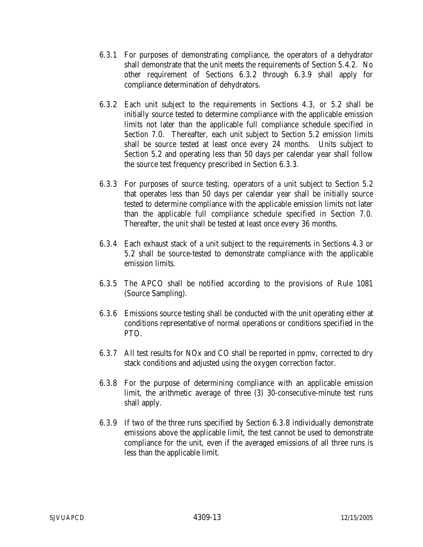- 6.3.1 For purposes of demonstrating compliance, the operators of a dehydrator shall demonstrate that the unit meets the requirements of Section 5.4.2. No other requirement of Sections 6.3.2 through 6.3.9 shall apply for compliance determination of dehydrators.
- 6.3.2 Each unit subject to the requirements in Sections 4.3, or 5.2 shall be initially source tested to determine compliance with the applicable emission limits not later than the applicable full compliance schedule specified in Section 7.0. Thereafter, each unit subject to Section 5.2 emission limits shall be source tested at least once every 24 months. Units subject to Section 5.2 and operating less than 50 days per calendar year shall follow the source test frequency prescribed in Section 6.3.3.
- 6.3.3 For purposes of source testing, operators of a unit subject to Section 5.2 that operates less than 50 days per calendar year shall be initially source tested to determine compliance with the applicable emission limits not later than the applicable full compliance schedule specified in Section 7.0. Thereafter, the unit shall be tested at least once every 36 months.
- 6.3.4 Each exhaust stack of a unit subject to the requirements in Sections 4.3 or 5.2 shall be source-tested to demonstrate compliance with the applicable emission limits.
- 6.3.5 The APCO shall be notified according to the provisions of Rule 1081 (Source Sampling).
- 6.3.6 Emissions source testing shall be conducted with the unit operating either at conditions representative of normal operations or conditions specified in the PTO.
- 6.3.7 All test results for NOx and CO shall be reported in ppmv, corrected to dry stack conditions and adjusted using the oxygen correction factor.
- 6.3.8 For the purpose of determining compliance with an applicable emission limit, the arithmetic average of three (3) 30-consecutive-minute test runs shall apply.
- 6.3.9 If two of the three runs specified by Section 6.3.8 individually demonstrate emissions above the applicable limit, the test cannot be used to demonstrate compliance for the unit, even if the averaged emissions of all three runs is less than the applicable limit.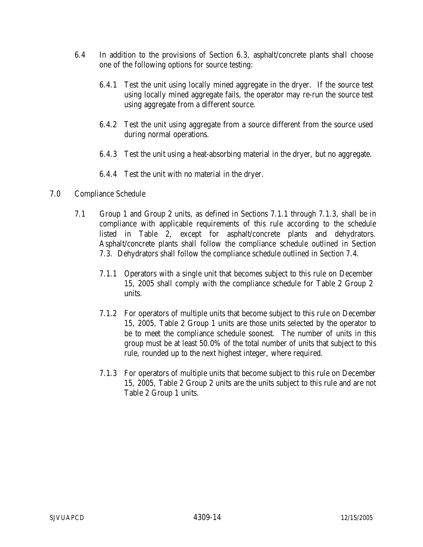- 6.4 In addition to the provisions of Section 6.3, asphalt/concrete plants shall choose one of the following options for source testing:
	- 6.4.1 Test the unit using locally mined aggregate in the dryer. If the source test using locally mined aggregate fails, the operator may re-run the source test using aggregate from a different source.
	- 6.4.2 Test the unit using aggregate from a source different from the source used during normal operations.
	- 6.4.3 Test the unit using a heat-absorbing material in the dryer, but no aggregate.
	- 6.4.4 Test the unit with no material in the dryer.
- 7.0 Compliance Schedule
	- 7.1 Group 1 and Group 2 units, as defined in Sections 7.1.1 through 7.1.3, shall be in compliance with applicable requirements of this rule according to the schedule listed in Table 2, except for asphalt/concrete plants and dehydrators. Asphalt/concrete plants shall follow the compliance schedule outlined in Section 7.3. Dehydrators shall follow the compliance schedule outlined in Section 7.4.
		- 7.1.1 Operators with a single unit that becomes subject to this rule on December 15, 2005 shall comply with the compliance schedule for Table 2 Group 2 units.
		- 7.1.2 For operators of multiple units that become subject to this rule on December 15, 2005, Table 2 Group 1 units are those units selected by the operator to be to meet the compliance schedule soonest. The number of units in this group must be at least 50.0% of the total number of units that subject to this rule, rounded up to the next highest integer, where required.
		- 7.1.3 For operators of multiple units that become subject to this rule on December 15, 2005, Table 2 Group 2 units are the units subject to this rule and are not Table 2 Group 1 units.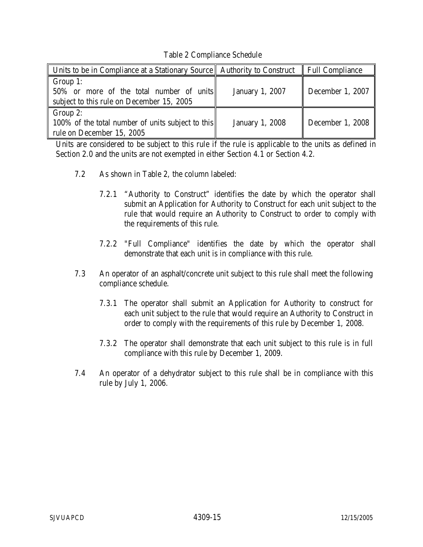Table 2 Compliance Schedule

| Units to be in Compliance at a Stationary Source   Authority to Construct   Full Compliance       |                        |                  |
|---------------------------------------------------------------------------------------------------|------------------------|------------------|
| Group 1:<br>50% or more of the total number of units<br>subject to this rule on December 15, 2005 | <b>January 1, 2007</b> | December 1, 2007 |
| Group 2:<br>100% of the total number of units subject to this<br>rule on December 15, 2005        | <b>January 1, 2008</b> | December 1, 2008 |

Units are considered to be subject to this rule if the rule is applicable to the units as defined in Section 2.0 and the units are not exempted in either Section 4.1 or Section 4.2.

- 7.2 As shown in Table 2, the column labeled:
	- 7.2.1 "Authority to Construct" identifies the date by which the operator shall submit an Application for Authority to Construct for each unit subject to the rule that would require an Authority to Construct to order to comply with the requirements of this rule.
	- 7.2.2 "Full Compliance" identifies the date by which the operator shall demonstrate that each unit is in compliance with this rule.
- 7.3 An operator of an asphalt/concrete unit subject to this rule shall meet the following compliance schedule.
	- 7.3.1 The operator shall submit an Application for Authority to construct for each unit subject to the rule that would require an Authority to Construct in order to comply with the requirements of this rule by December 1, 2008.
	- 7.3.2 The operator shall demonstrate that each unit subject to this rule is in full compliance with this rule by December 1, 2009.
- 7.4 An operator of a dehydrator subject to this rule shall be in compliance with this rule by July 1, 2006.